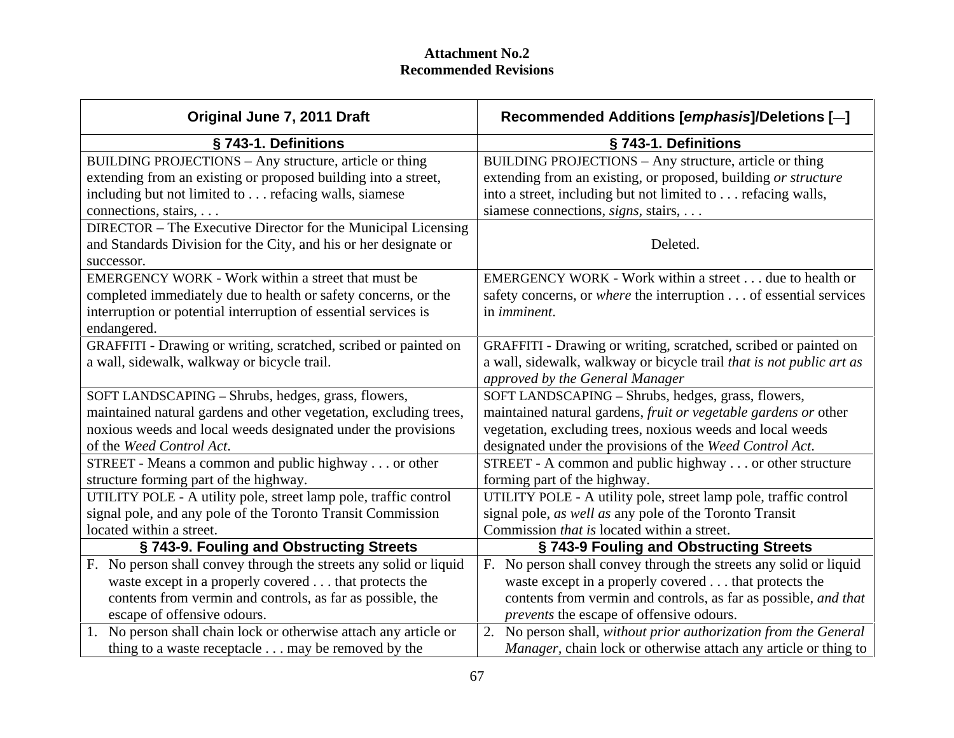| Original June 7, 2011 Draft                                       | Recommended Additions [emphasis]/Deletions [-                           |
|-------------------------------------------------------------------|-------------------------------------------------------------------------|
| § 743-1. Definitions                                              | § 743-1. Definitions                                                    |
| BUILDING PROJECTIONS - Any structure, article or thing            | BUILDING PROJECTIONS – Any structure, article or thing                  |
| extending from an existing or proposed building into a street,    | extending from an existing, or proposed, building or structure          |
| including but not limited to  refacing walls, siamese             | into a street, including but not limited to refacing walls,             |
| connections, stairs,                                              | siamese connections, <i>signs</i> , stairs, $\dots$                     |
| DIRECTOR – The Executive Director for the Municipal Licensing     |                                                                         |
| and Standards Division for the City, and his or her designate or  | Deleted.                                                                |
| successor.                                                        |                                                                         |
| EMERGENCY WORK - Work within a street that must be                | EMERGENCY WORK - Work within a street due to health or                  |
| completed immediately due to health or safety concerns, or the    | safety concerns, or <i>where</i> the interruption of essential services |
| interruption or potential interruption of essential services is   | in <i>imminent</i> .                                                    |
| endangered.                                                       |                                                                         |
| GRAFFITI - Drawing or writing, scratched, scribed or painted on   | GRAFFITI - Drawing or writing, scratched, scribed or painted on         |
| a wall, sidewalk, walkway or bicycle trail.                       | a wall, sidewalk, walkway or bicycle trail that is not public art as    |
|                                                                   | approved by the General Manager                                         |
| SOFT LANDSCAPING - Shrubs, hedges, grass, flowers,                | SOFT LANDSCAPING - Shrubs, hedges, grass, flowers,                      |
| maintained natural gardens and other vegetation, excluding trees, | maintained natural gardens, fruit or vegetable gardens or other         |
| noxious weeds and local weeds designated under the provisions     | vegetation, excluding trees, noxious weeds and local weeds              |
| of the Weed Control Act.                                          | designated under the provisions of the Weed Control Act.                |
| STREET - Means a common and public highway or other               | STREET - A common and public highway or other structure                 |
| structure forming part of the highway.                            | forming part of the highway.                                            |
| UTILITY POLE - A utility pole, street lamp pole, traffic control  | UTILITY POLE - A utility pole, street lamp pole, traffic control        |
| signal pole, and any pole of the Toronto Transit Commission       | signal pole, as well as any pole of the Toronto Transit                 |
| located within a street.                                          | Commission <i>that is</i> located within a street.                      |
| §743-9. Fouling and Obstructing Streets                           | §743-9 Fouling and Obstructing Streets                                  |
| . No person shall convey through the streets any solid or liquid  | No person shall convey through the streets any solid or liquid          |
| waste except in a properly covered that protects the              | waste except in a properly covered that protects the                    |
| contents from vermin and controls, as far as possible, the        | contents from vermin and controls, as far as possible, and that         |
| escape of offensive odours.                                       | <i>prevents</i> the escape of offensive odours.                         |
| No person shall chain lock or otherwise attach any article or     | No person shall, without prior authorization from the General           |
| thing to a waste receptacle may be removed by the                 | <i>Manager</i> , chain lock or otherwise attach any article or thing to |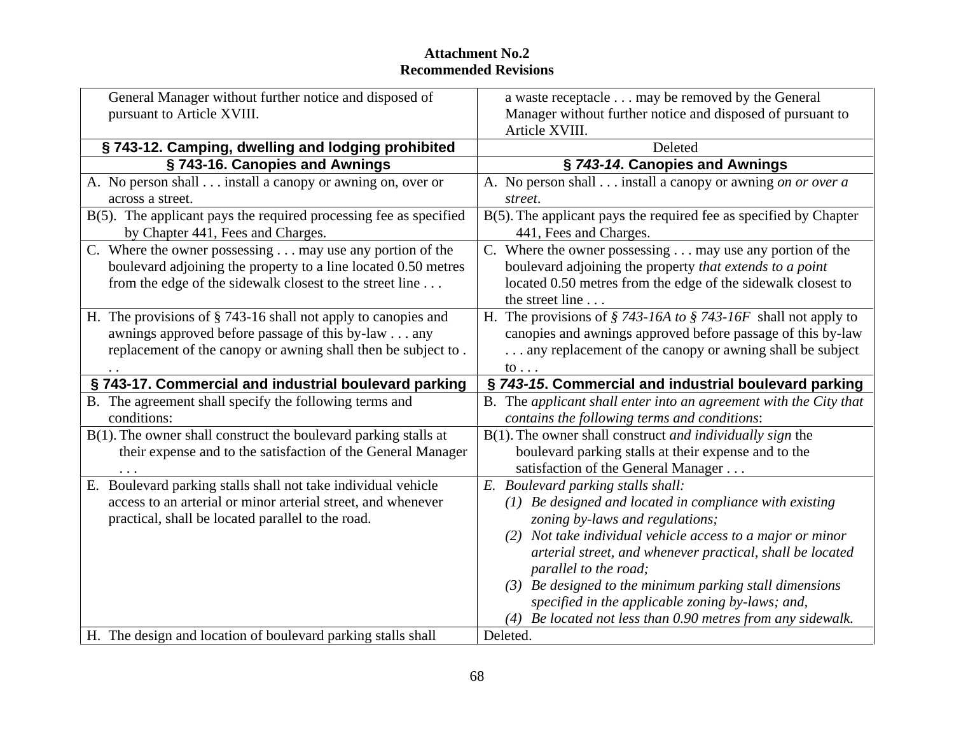| General Manager without further notice and disposed of                                                                                                                           | a waste receptacle may be removed by the General                             |
|----------------------------------------------------------------------------------------------------------------------------------------------------------------------------------|------------------------------------------------------------------------------|
| pursuant to Article XVIII.                                                                                                                                                       | Manager without further notice and disposed of pursuant to<br>Article XVIII. |
| §743-12. Camping, dwelling and lodging prohibited                                                                                                                                | Deleted                                                                      |
| §743-16. Canopies and Awnings                                                                                                                                                    | § 743-14. Canopies and Awnings                                               |
| A. No person shall install a canopy or awning on, over or                                                                                                                        | A. No person shall install a canopy or awning on or over a                   |
| across a street.                                                                                                                                                                 | street.                                                                      |
|                                                                                                                                                                                  |                                                                              |
| $B(5)$ . The applicant pays the required processing fee as specified   $B(5)$ . The applicant pays the required fee as specified by Chapter<br>by Chapter 441, Fees and Charges. | 441, Fees and Charges.                                                       |
|                                                                                                                                                                                  |                                                                              |
| C. Where the owner possessing may use any portion of the                                                                                                                         | . Where the owner possessing $\ldots$ may use any portion of the             |
| boulevard adjoining the property to a line located 0.50 metres                                                                                                                   | boulevard adjoining the property that extends to a point                     |
| from the edge of the sidewalk closest to the street line                                                                                                                         | located 0.50 metres from the edge of the sidewalk closest to                 |
|                                                                                                                                                                                  | the street line                                                              |
| H. The provisions of § 743-16 shall not apply to canopies and                                                                                                                    | H. The provisions of $\S 743$ -16A to $\S 743$ -16F shall not apply to       |
| awnings approved before passage of this by-law any                                                                                                                               | canopies and awnings approved before passage of this by-law                  |
| replacement of the canopy or awning shall then be subject to.                                                                                                                    | any replacement of the canopy or awning shall be subject                     |
|                                                                                                                                                                                  | to $\ldots$                                                                  |
| §743-17. Commercial and industrial boulevard parking                                                                                                                             | § 743-15. Commercial and industrial boulevard parking                        |
| B. The agreement shall specify the following terms and                                                                                                                           | B. The applicant shall enter into an agreement with the City that            |
| conditions:                                                                                                                                                                      | contains the following terms and conditions:                                 |
| $B(1)$ . The owner shall construct the boulevard parking stalls at                                                                                                               | $B(1)$ . The owner shall construct <i>and individually sign</i> the          |
| their expense and to the satisfaction of the General Manager                                                                                                                     | boulevard parking stalls at their expense and to the                         |
|                                                                                                                                                                                  | satisfaction of the General Manager                                          |
| E. Boulevard parking stalls shall not take individual vehicle                                                                                                                    | E. Boulevard parking stalls shall:                                           |
| access to an arterial or minor arterial street, and whenever                                                                                                                     | $(1)$ Be designed and located in compliance with existing                    |
| practical, shall be located parallel to the road.                                                                                                                                | zoning by-laws and regulations;                                              |
|                                                                                                                                                                                  | (2) Not take individual vehicle access to a major or minor                   |
|                                                                                                                                                                                  | arterial street, and whenever practical, shall be located                    |
|                                                                                                                                                                                  | parallel to the road;                                                        |
|                                                                                                                                                                                  | (3) Be designed to the minimum parking stall dimensions                      |
|                                                                                                                                                                                  | specified in the applicable zoning by-laws; and,                             |
|                                                                                                                                                                                  | $(4)$ Be located not less than 0.90 metres from any sidewalk.                |
| H. The design and location of boulevard parking stalls shall                                                                                                                     | Deleted.                                                                     |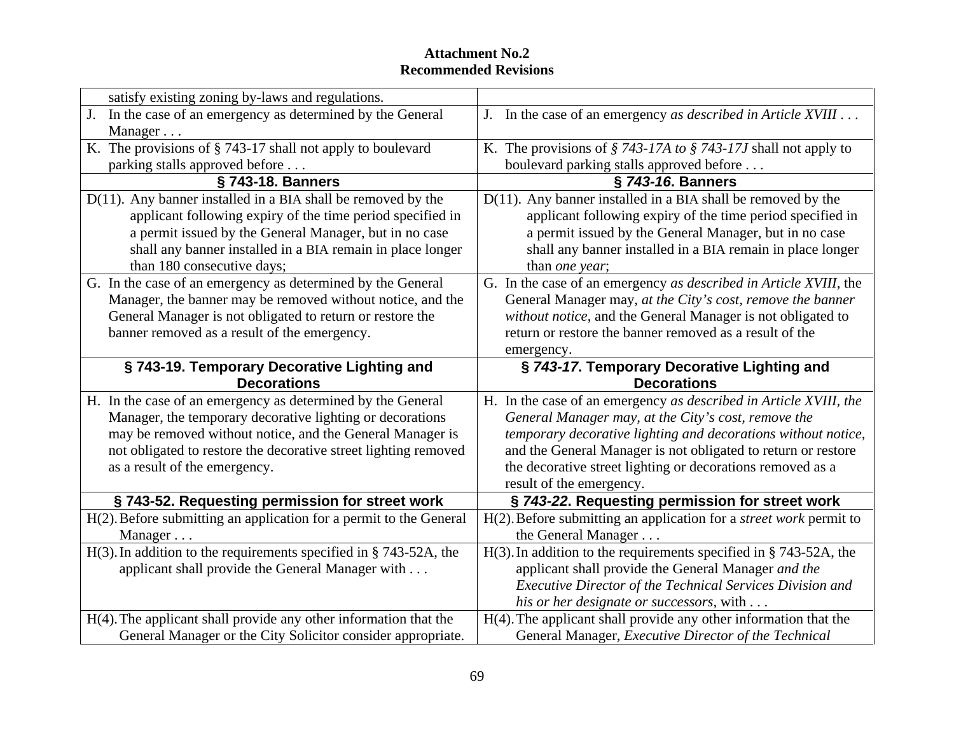| satisfy existing zoning by-laws and regulations.                      |                                                                              |
|-----------------------------------------------------------------------|------------------------------------------------------------------------------|
| In the case of an emergency as determined by the General              | In the case of an emergency as described in Article XVIII                    |
| Manager                                                               |                                                                              |
| K. The provisions of § 743-17 shall not apply to boulevard            | K. The provisions of $\S$ 743-17A to $\S$ 743-17J shall not apply to         |
| parking stalls approved before                                        | boulevard parking stalls approved before                                     |
| § 743-18. Banners                                                     | § 743-16. Banners                                                            |
| $D(11)$ . Any banner installed in a BIA shall be removed by the       | $D(11)$ . Any banner installed in a BIA shall be removed by the              |
| applicant following expiry of the time period specified in            | applicant following expiry of the time period specified in                   |
| a permit issued by the General Manager, but in no case                | a permit issued by the General Manager, but in no case                       |
| shall any banner installed in a BIA remain in place longer            | shall any banner installed in a BIA remain in place longer                   |
| than 180 consecutive days;                                            | than <i>one</i> year:                                                        |
| G. In the case of an emergency as determined by the General           | G. In the case of an emergency as described in Article XVIII, the            |
| Manager, the banner may be removed without notice, and the            | General Manager may, at the City's cost, remove the banner                   |
| General Manager is not obligated to return or restore the             | without notice, and the General Manager is not obligated to                  |
| banner removed as a result of the emergency.                          | return or restore the banner removed as a result of the                      |
|                                                                       | emergency                                                                    |
| § 743-19. Temporary Decorative Lighting and<br><b>Decorations</b>     | § 743-17. Temporary Decorative Lighting and<br><b>Decorations</b>            |
| H. In the case of an emergency as determined by the General           | H. In the case of an emergency as described in Article XVIII, the            |
| Manager, the temporary decorative lighting or decorations             | General Manager may, at the City's cost, remove the                          |
| may be removed without notice, and the General Manager is             | temporary decorative lighting and decorations without notice,                |
| not obligated to restore the decorative street lighting removed       | and the General Manager is not obligated to return or restore                |
| as a result of the emergency.                                         | the decorative street lighting or decorations removed as a                   |
|                                                                       | result of the emergency.                                                     |
| § 743-52. Requesting permission for street work                       | § 743-22. Requesting permission for street work                              |
| $H(2)$ . Before submitting an application for a permit to the General | $H(2)$ . Before submitting an application for a <i>street work</i> permit to |
| Manager                                                               | the General Manager                                                          |
| $H(3)$ . In addition to the requirements specified in § 743-52A, the  | $H(3)$ . In addition to the requirements specified in § 743-52A, the         |
| applicant shall provide the General Manager with                      | applicant shall provide the General Manager and the                          |
|                                                                       | Executive Director of the Technical Services Division and                    |
|                                                                       | his or her designate or successors, with $\dots$                             |
| $H(4)$ . The applicant shall provide any other information that the   | $H(4)$ . The applicant shall provide any other information that the          |
| General Manager or the City Solicitor consider appropriate.           | General Manager, Executive Director of the Technical                         |
|                                                                       |                                                                              |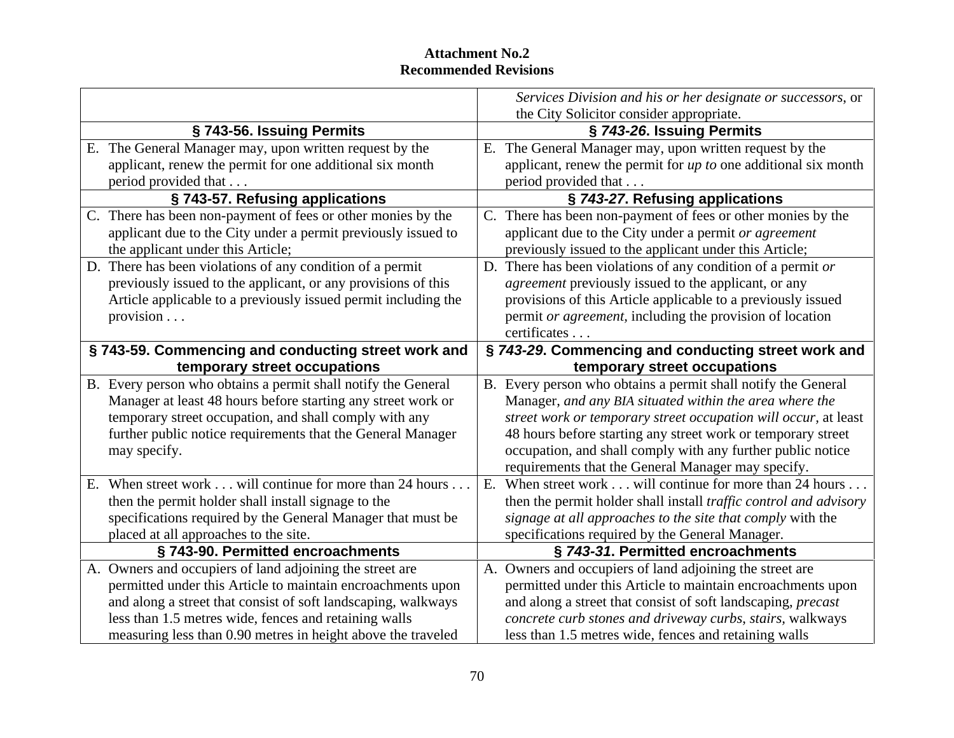|                                                                | Services Division and his or her designate or successors, or             |
|----------------------------------------------------------------|--------------------------------------------------------------------------|
|                                                                | the City Solicitor consider appropriate.                                 |
| § 743-56. Issuing Permits                                      | § 743-26. Issuing Permits                                                |
| The General Manager may, upon written request by the           | E. The General Manager may, upon written request by the                  |
| applicant, renew the permit for one additional six month       | applicant, renew the permit for $up$ to one additional six month         |
| period provided that                                           | period provided that                                                     |
| §743-57. Refusing applications                                 | § 743-27. Refusing applications                                          |
| . There has been non-payment of fees or other monies by the    | C. There has been non-payment of fees or other monies by the             |
| applicant due to the City under a permit previously issued to  | applicant due to the City under a permit or agreement                    |
| the applicant under this Article;                              | previously issued to the applicant under this Article;                   |
| D. There has been violations of any condition of a permit      | D. There has been violations of any condition of a permit or             |
| previously issued to the applicant, or any provisions of this  | <i>agreement</i> previously issued to the applicant, or any              |
| Article applicable to a previously issued permit including the | provisions of this Article applicable to a previously issued             |
| provision $\ldots$                                             | permit or agreement, including the provision of location                 |
|                                                                | certificates                                                             |
| §743-59. Commencing and conducting street work and             | § 743-29. Commencing and conducting street work and                      |
| temporary street occupations                                   | temporary street occupations                                             |
| B. Every person who obtains a permit shall notify the General  | B. Every person who obtains a permit shall notify the General            |
| Manager at least 48 hours before starting any street work or   | Manager, and any BIA situated within the area where the                  |
| temporary street occupation, and shall comply with any         | street work or temporary street occupation will occur, at least          |
| further public notice requirements that the General Manager    | 48 hours before starting any street work or temporary street             |
| may specify.                                                   | occupation, and shall comply with any further public notice              |
|                                                                | requirements that the General Manager may specify.                       |
| When street work will continue for more than 24 hours.         | E. When street work will continue for more than 24 hours                 |
| then the permit holder shall install signage to the            | then the permit holder shall install <i>traffic</i> control and advisory |
| specifications required by the General Manager that must be    | signage at all approaches to the site that comply with the               |
| placed at all approaches to the site.                          | specifications required by the General Manager.                          |
| §743-90. Permitted encroachments                               | § 743-31. Permitted encroachments                                        |
| . Owners and occupiers of land adjoining the street are        | A. Owners and occupiers of land adjoining the street are                 |
| permitted under this Article to maintain encroachments upon    | permitted under this Article to maintain encroachments upon              |
| and along a street that consist of soft landscaping, walkways  | and along a street that consist of soft landscaping, <i>precast</i>      |
| less than 1.5 metres wide, fences and retaining walls          | concrete curb stones and driveway curbs, stairs, walkways                |
| measuring less than 0.90 metres in height above the traveled   | less than 1.5 metres wide, fences and retaining walls                    |
|                                                                |                                                                          |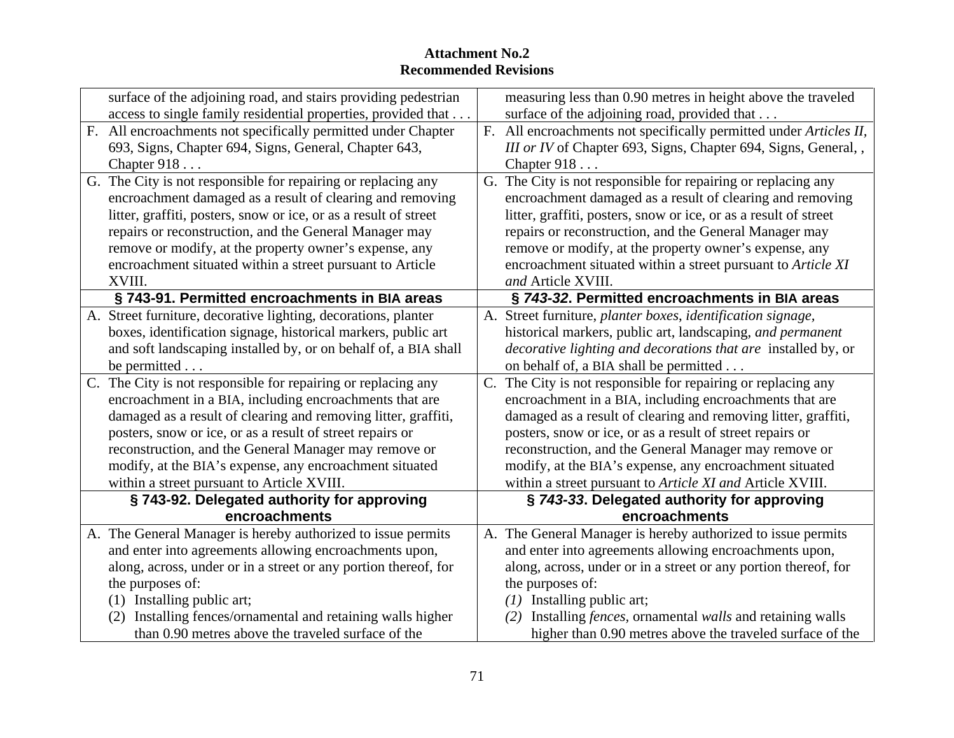| surface of the adjoining road, and stairs providing pedestrian<br>measuring less than 0.90 metres in height above the traveled<br>surface of the adjoining road, provided that<br>access to single family residential properties, provided that<br>All encroachments not specifically permitted under Chapter<br>All encroachments not specifically permitted under Articles II,<br>693, Signs, Chapter 694, Signs, General, Chapter 643,<br>III or IV of Chapter 693, Signs, Chapter 694, Signs, General,<br>Chapter $918$<br>Chapter $918$<br>G. The City is not responsible for repairing or replacing any<br>$\overline{3}$ . The City is not responsible for repairing or replacing any<br>encroachment damaged as a result of clearing and removing<br>encroachment damaged as a result of clearing and removing<br>litter, graffiti, posters, snow or ice, or as a result of street<br>litter, graffiti, posters, snow or ice, or as a result of street<br>repairs or reconstruction, and the General Manager may<br>repairs or reconstruction, and the General Manager may<br>remove or modify, at the property owner's expense, any<br>remove or modify, at the property owner's expense, any<br>encroachment situated within a street pursuant to Article<br>encroachment situated within a street pursuant to Article XI<br>and Article XVIII<br>§ 743-91. Permitted encroachments in BIA areas<br>§ 743-32. Permitted encroachments in BIA areas<br>. Street furniture, decorative lighting, decorations, planter<br>. Street furniture, planter boxes, identification signage,<br>historical markers, public art, landscaping, and permanent<br>boxes, identification signage, historical markers, public art<br><i>decorative lighting and decorations that are installed by, or</i><br>and soft landscaping installed by, or on behalf of, a BIA shall<br>on behalf of, a BIA shall be permitted<br>be permitted.<br>. The City is not responsible for repairing or replacing any<br>. The City is not responsible for repairing or replacing any<br>encroachment in a BIA, including encroachments that are<br>encroachment in a BIA, including encroachments that are<br>damaged as a result of clearing and removing litter, graffiti,<br>damaged as a result of clearing and removing litter, graffiti,<br>posters, snow or ice, or as a result of street repairs or<br>posters, snow or ice, or as a result of street repairs or<br>reconstruction, and the General Manager may remove or<br>reconstruction, and the General Manager may remove or<br>modify, at the BIA's expense, any encroachment situated<br>modify, at the BIA's expense, any encroachment situated<br>within a street pursuant to Article XVIII.<br>within a street pursuant to Article XI and Article XVIII.<br>§743-92. Delegated authority for approving<br>§ 743-33. Delegated authority for approving<br>encroachments<br>encroachments<br>The General Manager is hereby authorized to issue permits<br>and enter into agreements allowing encroachments upon,<br>and enter into agreements allowing encroachments upon,<br>along, across, under or in a street or any portion thereof, for<br>along, across, under or in a street or any portion thereof, for<br>the purposes of:<br>the purposes of:<br>(1) Installing public art;<br>$(1)$ Installing public art;<br>(2) Installing fences/ornamental and retaining walls higher<br>(2) Installing <i>fences</i> , ornamental <i>walls</i> and retaining walls<br>than 0.90 metres above the traveled surface of the<br>higher than 0.90 metres above the traveled surface of the |                                                           |  |
|-------------------------------------------------------------------------------------------------------------------------------------------------------------------------------------------------------------------------------------------------------------------------------------------------------------------------------------------------------------------------------------------------------------------------------------------------------------------------------------------------------------------------------------------------------------------------------------------------------------------------------------------------------------------------------------------------------------------------------------------------------------------------------------------------------------------------------------------------------------------------------------------------------------------------------------------------------------------------------------------------------------------------------------------------------------------------------------------------------------------------------------------------------------------------------------------------------------------------------------------------------------------------------------------------------------------------------------------------------------------------------------------------------------------------------------------------------------------------------------------------------------------------------------------------------------------------------------------------------------------------------------------------------------------------------------------------------------------------------------------------------------------------------------------------------------------------------------------------------------------------------------------------------------------------------------------------------------------------------------------------------------------------------------------------------------------------------------------------------------------------------------------------------------------------------------------------------------------------------------------------------------------------------------------------------------------------------------------------------------------------------------------------------------------------------------------------------------------------------------------------------------------------------------------------------------------------------------------------------------------------------------------------------------------------------------------------------------------------------------------------------------------------------------------------------------------------------------------------------------------------------------------------------------------------------------------------------------------------------------------------------------------------------------------------------------------------------------------------------------------------------------------------------------------------------------------------------------------------------------------------------------------------------------------------------------------------------------------------------------------------------------------------------------------------------------------------------------------------------------------------------------------------------------------------------------------------------------------------------------------------------------|-----------------------------------------------------------|--|
|                                                                                                                                                                                                                                                                                                                                                                                                                                                                                                                                                                                                                                                                                                                                                                                                                                                                                                                                                                                                                                                                                                                                                                                                                                                                                                                                                                                                                                                                                                                                                                                                                                                                                                                                                                                                                                                                                                                                                                                                                                                                                                                                                                                                                                                                                                                                                                                                                                                                                                                                                                                                                                                                                                                                                                                                                                                                                                                                                                                                                                                                                                                                                                                                                                                                                                                                                                                                                                                                                                                                                                                                                                     |                                                           |  |
|                                                                                                                                                                                                                                                                                                                                                                                                                                                                                                                                                                                                                                                                                                                                                                                                                                                                                                                                                                                                                                                                                                                                                                                                                                                                                                                                                                                                                                                                                                                                                                                                                                                                                                                                                                                                                                                                                                                                                                                                                                                                                                                                                                                                                                                                                                                                                                                                                                                                                                                                                                                                                                                                                                                                                                                                                                                                                                                                                                                                                                                                                                                                                                                                                                                                                                                                                                                                                                                                                                                                                                                                                                     |                                                           |  |
|                                                                                                                                                                                                                                                                                                                                                                                                                                                                                                                                                                                                                                                                                                                                                                                                                                                                                                                                                                                                                                                                                                                                                                                                                                                                                                                                                                                                                                                                                                                                                                                                                                                                                                                                                                                                                                                                                                                                                                                                                                                                                                                                                                                                                                                                                                                                                                                                                                                                                                                                                                                                                                                                                                                                                                                                                                                                                                                                                                                                                                                                                                                                                                                                                                                                                                                                                                                                                                                                                                                                                                                                                                     |                                                           |  |
|                                                                                                                                                                                                                                                                                                                                                                                                                                                                                                                                                                                                                                                                                                                                                                                                                                                                                                                                                                                                                                                                                                                                                                                                                                                                                                                                                                                                                                                                                                                                                                                                                                                                                                                                                                                                                                                                                                                                                                                                                                                                                                                                                                                                                                                                                                                                                                                                                                                                                                                                                                                                                                                                                                                                                                                                                                                                                                                                                                                                                                                                                                                                                                                                                                                                                                                                                                                                                                                                                                                                                                                                                                     |                                                           |  |
|                                                                                                                                                                                                                                                                                                                                                                                                                                                                                                                                                                                                                                                                                                                                                                                                                                                                                                                                                                                                                                                                                                                                                                                                                                                                                                                                                                                                                                                                                                                                                                                                                                                                                                                                                                                                                                                                                                                                                                                                                                                                                                                                                                                                                                                                                                                                                                                                                                                                                                                                                                                                                                                                                                                                                                                                                                                                                                                                                                                                                                                                                                                                                                                                                                                                                                                                                                                                                                                                                                                                                                                                                                     |                                                           |  |
|                                                                                                                                                                                                                                                                                                                                                                                                                                                                                                                                                                                                                                                                                                                                                                                                                                                                                                                                                                                                                                                                                                                                                                                                                                                                                                                                                                                                                                                                                                                                                                                                                                                                                                                                                                                                                                                                                                                                                                                                                                                                                                                                                                                                                                                                                                                                                                                                                                                                                                                                                                                                                                                                                                                                                                                                                                                                                                                                                                                                                                                                                                                                                                                                                                                                                                                                                                                                                                                                                                                                                                                                                                     |                                                           |  |
|                                                                                                                                                                                                                                                                                                                                                                                                                                                                                                                                                                                                                                                                                                                                                                                                                                                                                                                                                                                                                                                                                                                                                                                                                                                                                                                                                                                                                                                                                                                                                                                                                                                                                                                                                                                                                                                                                                                                                                                                                                                                                                                                                                                                                                                                                                                                                                                                                                                                                                                                                                                                                                                                                                                                                                                                                                                                                                                                                                                                                                                                                                                                                                                                                                                                                                                                                                                                                                                                                                                                                                                                                                     |                                                           |  |
|                                                                                                                                                                                                                                                                                                                                                                                                                                                                                                                                                                                                                                                                                                                                                                                                                                                                                                                                                                                                                                                                                                                                                                                                                                                                                                                                                                                                                                                                                                                                                                                                                                                                                                                                                                                                                                                                                                                                                                                                                                                                                                                                                                                                                                                                                                                                                                                                                                                                                                                                                                                                                                                                                                                                                                                                                                                                                                                                                                                                                                                                                                                                                                                                                                                                                                                                                                                                                                                                                                                                                                                                                                     |                                                           |  |
|                                                                                                                                                                                                                                                                                                                                                                                                                                                                                                                                                                                                                                                                                                                                                                                                                                                                                                                                                                                                                                                                                                                                                                                                                                                                                                                                                                                                                                                                                                                                                                                                                                                                                                                                                                                                                                                                                                                                                                                                                                                                                                                                                                                                                                                                                                                                                                                                                                                                                                                                                                                                                                                                                                                                                                                                                                                                                                                                                                                                                                                                                                                                                                                                                                                                                                                                                                                                                                                                                                                                                                                                                                     |                                                           |  |
|                                                                                                                                                                                                                                                                                                                                                                                                                                                                                                                                                                                                                                                                                                                                                                                                                                                                                                                                                                                                                                                                                                                                                                                                                                                                                                                                                                                                                                                                                                                                                                                                                                                                                                                                                                                                                                                                                                                                                                                                                                                                                                                                                                                                                                                                                                                                                                                                                                                                                                                                                                                                                                                                                                                                                                                                                                                                                                                                                                                                                                                                                                                                                                                                                                                                                                                                                                                                                                                                                                                                                                                                                                     |                                                           |  |
|                                                                                                                                                                                                                                                                                                                                                                                                                                                                                                                                                                                                                                                                                                                                                                                                                                                                                                                                                                                                                                                                                                                                                                                                                                                                                                                                                                                                                                                                                                                                                                                                                                                                                                                                                                                                                                                                                                                                                                                                                                                                                                                                                                                                                                                                                                                                                                                                                                                                                                                                                                                                                                                                                                                                                                                                                                                                                                                                                                                                                                                                                                                                                                                                                                                                                                                                                                                                                                                                                                                                                                                                                                     |                                                           |  |
|                                                                                                                                                                                                                                                                                                                                                                                                                                                                                                                                                                                                                                                                                                                                                                                                                                                                                                                                                                                                                                                                                                                                                                                                                                                                                                                                                                                                                                                                                                                                                                                                                                                                                                                                                                                                                                                                                                                                                                                                                                                                                                                                                                                                                                                                                                                                                                                                                                                                                                                                                                                                                                                                                                                                                                                                                                                                                                                                                                                                                                                                                                                                                                                                                                                                                                                                                                                                                                                                                                                                                                                                                                     | XVIII.                                                    |  |
|                                                                                                                                                                                                                                                                                                                                                                                                                                                                                                                                                                                                                                                                                                                                                                                                                                                                                                                                                                                                                                                                                                                                                                                                                                                                                                                                                                                                                                                                                                                                                                                                                                                                                                                                                                                                                                                                                                                                                                                                                                                                                                                                                                                                                                                                                                                                                                                                                                                                                                                                                                                                                                                                                                                                                                                                                                                                                                                                                                                                                                                                                                                                                                                                                                                                                                                                                                                                                                                                                                                                                                                                                                     |                                                           |  |
|                                                                                                                                                                                                                                                                                                                                                                                                                                                                                                                                                                                                                                                                                                                                                                                                                                                                                                                                                                                                                                                                                                                                                                                                                                                                                                                                                                                                                                                                                                                                                                                                                                                                                                                                                                                                                                                                                                                                                                                                                                                                                                                                                                                                                                                                                                                                                                                                                                                                                                                                                                                                                                                                                                                                                                                                                                                                                                                                                                                                                                                                                                                                                                                                                                                                                                                                                                                                                                                                                                                                                                                                                                     |                                                           |  |
|                                                                                                                                                                                                                                                                                                                                                                                                                                                                                                                                                                                                                                                                                                                                                                                                                                                                                                                                                                                                                                                                                                                                                                                                                                                                                                                                                                                                                                                                                                                                                                                                                                                                                                                                                                                                                                                                                                                                                                                                                                                                                                                                                                                                                                                                                                                                                                                                                                                                                                                                                                                                                                                                                                                                                                                                                                                                                                                                                                                                                                                                                                                                                                                                                                                                                                                                                                                                                                                                                                                                                                                                                                     |                                                           |  |
|                                                                                                                                                                                                                                                                                                                                                                                                                                                                                                                                                                                                                                                                                                                                                                                                                                                                                                                                                                                                                                                                                                                                                                                                                                                                                                                                                                                                                                                                                                                                                                                                                                                                                                                                                                                                                                                                                                                                                                                                                                                                                                                                                                                                                                                                                                                                                                                                                                                                                                                                                                                                                                                                                                                                                                                                                                                                                                                                                                                                                                                                                                                                                                                                                                                                                                                                                                                                                                                                                                                                                                                                                                     |                                                           |  |
|                                                                                                                                                                                                                                                                                                                                                                                                                                                                                                                                                                                                                                                                                                                                                                                                                                                                                                                                                                                                                                                                                                                                                                                                                                                                                                                                                                                                                                                                                                                                                                                                                                                                                                                                                                                                                                                                                                                                                                                                                                                                                                                                                                                                                                                                                                                                                                                                                                                                                                                                                                                                                                                                                                                                                                                                                                                                                                                                                                                                                                                                                                                                                                                                                                                                                                                                                                                                                                                                                                                                                                                                                                     |                                                           |  |
|                                                                                                                                                                                                                                                                                                                                                                                                                                                                                                                                                                                                                                                                                                                                                                                                                                                                                                                                                                                                                                                                                                                                                                                                                                                                                                                                                                                                                                                                                                                                                                                                                                                                                                                                                                                                                                                                                                                                                                                                                                                                                                                                                                                                                                                                                                                                                                                                                                                                                                                                                                                                                                                                                                                                                                                                                                                                                                                                                                                                                                                                                                                                                                                                                                                                                                                                                                                                                                                                                                                                                                                                                                     |                                                           |  |
|                                                                                                                                                                                                                                                                                                                                                                                                                                                                                                                                                                                                                                                                                                                                                                                                                                                                                                                                                                                                                                                                                                                                                                                                                                                                                                                                                                                                                                                                                                                                                                                                                                                                                                                                                                                                                                                                                                                                                                                                                                                                                                                                                                                                                                                                                                                                                                                                                                                                                                                                                                                                                                                                                                                                                                                                                                                                                                                                                                                                                                                                                                                                                                                                                                                                                                                                                                                                                                                                                                                                                                                                                                     |                                                           |  |
|                                                                                                                                                                                                                                                                                                                                                                                                                                                                                                                                                                                                                                                                                                                                                                                                                                                                                                                                                                                                                                                                                                                                                                                                                                                                                                                                                                                                                                                                                                                                                                                                                                                                                                                                                                                                                                                                                                                                                                                                                                                                                                                                                                                                                                                                                                                                                                                                                                                                                                                                                                                                                                                                                                                                                                                                                                                                                                                                                                                                                                                                                                                                                                                                                                                                                                                                                                                                                                                                                                                                                                                                                                     |                                                           |  |
|                                                                                                                                                                                                                                                                                                                                                                                                                                                                                                                                                                                                                                                                                                                                                                                                                                                                                                                                                                                                                                                                                                                                                                                                                                                                                                                                                                                                                                                                                                                                                                                                                                                                                                                                                                                                                                                                                                                                                                                                                                                                                                                                                                                                                                                                                                                                                                                                                                                                                                                                                                                                                                                                                                                                                                                                                                                                                                                                                                                                                                                                                                                                                                                                                                                                                                                                                                                                                                                                                                                                                                                                                                     |                                                           |  |
|                                                                                                                                                                                                                                                                                                                                                                                                                                                                                                                                                                                                                                                                                                                                                                                                                                                                                                                                                                                                                                                                                                                                                                                                                                                                                                                                                                                                                                                                                                                                                                                                                                                                                                                                                                                                                                                                                                                                                                                                                                                                                                                                                                                                                                                                                                                                                                                                                                                                                                                                                                                                                                                                                                                                                                                                                                                                                                                                                                                                                                                                                                                                                                                                                                                                                                                                                                                                                                                                                                                                                                                                                                     |                                                           |  |
|                                                                                                                                                                                                                                                                                                                                                                                                                                                                                                                                                                                                                                                                                                                                                                                                                                                                                                                                                                                                                                                                                                                                                                                                                                                                                                                                                                                                                                                                                                                                                                                                                                                                                                                                                                                                                                                                                                                                                                                                                                                                                                                                                                                                                                                                                                                                                                                                                                                                                                                                                                                                                                                                                                                                                                                                                                                                                                                                                                                                                                                                                                                                                                                                                                                                                                                                                                                                                                                                                                                                                                                                                                     |                                                           |  |
|                                                                                                                                                                                                                                                                                                                                                                                                                                                                                                                                                                                                                                                                                                                                                                                                                                                                                                                                                                                                                                                                                                                                                                                                                                                                                                                                                                                                                                                                                                                                                                                                                                                                                                                                                                                                                                                                                                                                                                                                                                                                                                                                                                                                                                                                                                                                                                                                                                                                                                                                                                                                                                                                                                                                                                                                                                                                                                                                                                                                                                                                                                                                                                                                                                                                                                                                                                                                                                                                                                                                                                                                                                     |                                                           |  |
|                                                                                                                                                                                                                                                                                                                                                                                                                                                                                                                                                                                                                                                                                                                                                                                                                                                                                                                                                                                                                                                                                                                                                                                                                                                                                                                                                                                                                                                                                                                                                                                                                                                                                                                                                                                                                                                                                                                                                                                                                                                                                                                                                                                                                                                                                                                                                                                                                                                                                                                                                                                                                                                                                                                                                                                                                                                                                                                                                                                                                                                                                                                                                                                                                                                                                                                                                                                                                                                                                                                                                                                                                                     |                                                           |  |
|                                                                                                                                                                                                                                                                                                                                                                                                                                                                                                                                                                                                                                                                                                                                                                                                                                                                                                                                                                                                                                                                                                                                                                                                                                                                                                                                                                                                                                                                                                                                                                                                                                                                                                                                                                                                                                                                                                                                                                                                                                                                                                                                                                                                                                                                                                                                                                                                                                                                                                                                                                                                                                                                                                                                                                                                                                                                                                                                                                                                                                                                                                                                                                                                                                                                                                                                                                                                                                                                                                                                                                                                                                     |                                                           |  |
|                                                                                                                                                                                                                                                                                                                                                                                                                                                                                                                                                                                                                                                                                                                                                                                                                                                                                                                                                                                                                                                                                                                                                                                                                                                                                                                                                                                                                                                                                                                                                                                                                                                                                                                                                                                                                                                                                                                                                                                                                                                                                                                                                                                                                                                                                                                                                                                                                                                                                                                                                                                                                                                                                                                                                                                                                                                                                                                                                                                                                                                                                                                                                                                                                                                                                                                                                                                                                                                                                                                                                                                                                                     | The General Manager is hereby authorized to issue permits |  |
|                                                                                                                                                                                                                                                                                                                                                                                                                                                                                                                                                                                                                                                                                                                                                                                                                                                                                                                                                                                                                                                                                                                                                                                                                                                                                                                                                                                                                                                                                                                                                                                                                                                                                                                                                                                                                                                                                                                                                                                                                                                                                                                                                                                                                                                                                                                                                                                                                                                                                                                                                                                                                                                                                                                                                                                                                                                                                                                                                                                                                                                                                                                                                                                                                                                                                                                                                                                                                                                                                                                                                                                                                                     |                                                           |  |
|                                                                                                                                                                                                                                                                                                                                                                                                                                                                                                                                                                                                                                                                                                                                                                                                                                                                                                                                                                                                                                                                                                                                                                                                                                                                                                                                                                                                                                                                                                                                                                                                                                                                                                                                                                                                                                                                                                                                                                                                                                                                                                                                                                                                                                                                                                                                                                                                                                                                                                                                                                                                                                                                                                                                                                                                                                                                                                                                                                                                                                                                                                                                                                                                                                                                                                                                                                                                                                                                                                                                                                                                                                     |                                                           |  |
|                                                                                                                                                                                                                                                                                                                                                                                                                                                                                                                                                                                                                                                                                                                                                                                                                                                                                                                                                                                                                                                                                                                                                                                                                                                                                                                                                                                                                                                                                                                                                                                                                                                                                                                                                                                                                                                                                                                                                                                                                                                                                                                                                                                                                                                                                                                                                                                                                                                                                                                                                                                                                                                                                                                                                                                                                                                                                                                                                                                                                                                                                                                                                                                                                                                                                                                                                                                                                                                                                                                                                                                                                                     |                                                           |  |
|                                                                                                                                                                                                                                                                                                                                                                                                                                                                                                                                                                                                                                                                                                                                                                                                                                                                                                                                                                                                                                                                                                                                                                                                                                                                                                                                                                                                                                                                                                                                                                                                                                                                                                                                                                                                                                                                                                                                                                                                                                                                                                                                                                                                                                                                                                                                                                                                                                                                                                                                                                                                                                                                                                                                                                                                                                                                                                                                                                                                                                                                                                                                                                                                                                                                                                                                                                                                                                                                                                                                                                                                                                     |                                                           |  |
|                                                                                                                                                                                                                                                                                                                                                                                                                                                                                                                                                                                                                                                                                                                                                                                                                                                                                                                                                                                                                                                                                                                                                                                                                                                                                                                                                                                                                                                                                                                                                                                                                                                                                                                                                                                                                                                                                                                                                                                                                                                                                                                                                                                                                                                                                                                                                                                                                                                                                                                                                                                                                                                                                                                                                                                                                                                                                                                                                                                                                                                                                                                                                                                                                                                                                                                                                                                                                                                                                                                                                                                                                                     |                                                           |  |
|                                                                                                                                                                                                                                                                                                                                                                                                                                                                                                                                                                                                                                                                                                                                                                                                                                                                                                                                                                                                                                                                                                                                                                                                                                                                                                                                                                                                                                                                                                                                                                                                                                                                                                                                                                                                                                                                                                                                                                                                                                                                                                                                                                                                                                                                                                                                                                                                                                                                                                                                                                                                                                                                                                                                                                                                                                                                                                                                                                                                                                                                                                                                                                                                                                                                                                                                                                                                                                                                                                                                                                                                                                     |                                                           |  |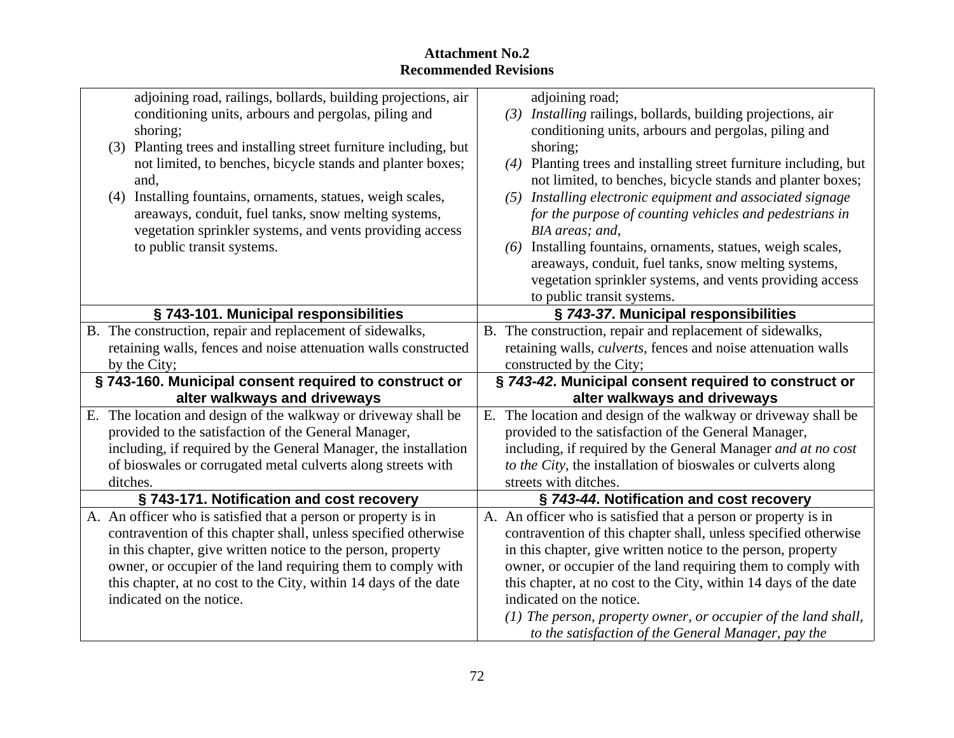| adjoining road, railings, bollards, building projections, air     | adjoining road;                                                       |
|-------------------------------------------------------------------|-----------------------------------------------------------------------|
| conditioning units, arbours and pergolas, piling and              | (3) Installing railings, bollards, building projections, air          |
| shoring:                                                          | conditioning units, arbours and pergolas, piling and                  |
| (3) Planting trees and installing street furniture including, but | shoring:                                                              |
| not limited, to benches, bicycle stands and planter boxes;        | (4) Planting trees and installing street furniture including, but     |
|                                                                   | not limited, to benches, bicycle stands and planter boxes;            |
| (4) Installing fountains, ornaments, statues, weigh scales,       | (5) Installing electronic equipment and associated signage            |
| areaways, conduit, fuel tanks, snow melting systems,              | for the purpose of counting vehicles and pedestrians in               |
| vegetation sprinkler systems, and vents providing access          | BIA areas: and.                                                       |
| to public transit systems.                                        | (6) Installing fountains, ornaments, statues, weigh scales,           |
|                                                                   | areaways, conduit, fuel tanks, snow melting systems,                  |
|                                                                   | vegetation sprinkler systems, and vents providing access              |
|                                                                   | to public transit systems.                                            |
| § 743-101. Municipal responsibilities                             | § 743-37. Municipal responsibilities                                  |
| B. The construction, repair and replacement of sidewalks,         | B. The construction, repair and replacement of sidewalks,             |
| retaining walls, fences and noise attenuation walls constructed   | retaining walls, <i>culverts</i> , fences and noise attenuation walls |
| by the City:                                                      | constructed by the City;                                              |
| § 743-160. Municipal consent required to construct or             | § 743-42. Municipal consent required to construct or                  |
| alter walkways and driveways                                      | alter walkways and driveways                                          |
| E. The location and design of the walkway or driveway shall be    | The location and design of the walkway or driveway shall be           |
| provided to the satisfaction of the General Manager,              | provided to the satisfaction of the General Manager,                  |
| including, if required by the General Manager, the installation   | including, if required by the General Manager and at no cost          |
| of bioswales or corrugated metal culverts along streets with      | to the City, the installation of bioswales or culverts along          |
| ditches.                                                          | streets with ditches.                                                 |
| §743-171. Notification and cost recovery                          | § 743-44. Notification and cost recovery                              |
| A. An officer who is satisfied that a person or property is in    | A. An officer who is satisfied that a person or property is in        |
| contravention of this chapter shall, unless specified otherwise   | contravention of this chapter shall, unless specified otherwise       |
| in this chapter, give written notice to the person, property      | in this chapter, give written notice to the person, property          |
| owner, or occupier of the land requiring them to comply with      | owner, or occupier of the land requiring them to comply with          |
| this chapter, at no cost to the City, within 14 days of the date  | this chapter, at no cost to the City, within 14 days of the date      |
| indicated on the notice.                                          | indicated on the notice.                                              |
|                                                                   | $(1)$ The person, property owner, or occupier of the land shall,      |
|                                                                   | to the satisfaction of the General Manager, pay the                   |
|                                                                   |                                                                       |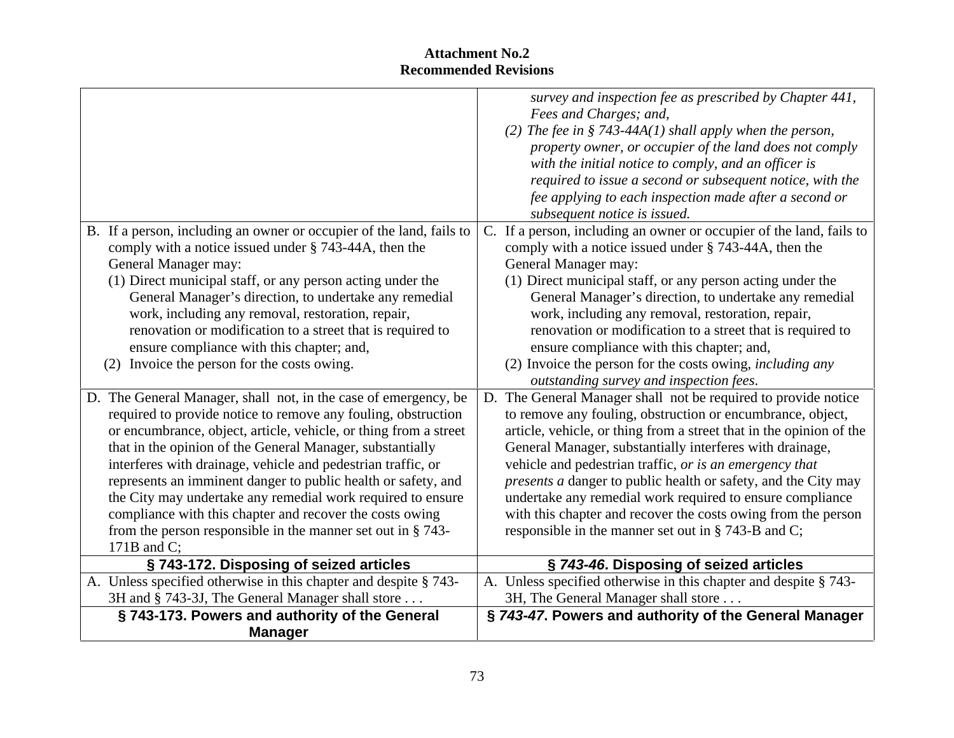|                                                                  | survey and inspection fee as prescribed by Chapter 441,                                                                                           |
|------------------------------------------------------------------|---------------------------------------------------------------------------------------------------------------------------------------------------|
|                                                                  | Fees and Charges; and,                                                                                                                            |
|                                                                  | (2) The fee in § 743-44A(1) shall apply when the person,                                                                                          |
|                                                                  | property owner, or occupier of the land does not comply                                                                                           |
|                                                                  | with the initial notice to comply, and an officer is                                                                                              |
|                                                                  | required to issue a second or subsequent notice, with the                                                                                         |
|                                                                  | fee applying to each inspection made after a second or                                                                                            |
|                                                                  | subsequent notice is issued.                                                                                                                      |
|                                                                  | B. If a person, including an owner or occupier of the land, fails to $\vert$ C. If a person, including an owner or occupier of the land, fails to |
| comply with a notice issued under $\S$ 743-44A, then the         | comply with a notice issued under § 743-44A, then the                                                                                             |
| General Manager may:                                             | General Manager may:                                                                                                                              |
| (1) Direct municipal staff, or any person acting under the       | (1) Direct municipal staff, or any person acting under the                                                                                        |
| General Manager's direction, to undertake any remedial           | General Manager's direction, to undertake any remedial                                                                                            |
| work, including any removal, restoration, repair,                | work, including any removal, restoration, repair,                                                                                                 |
| renovation or modification to a street that is required to       | renovation or modification to a street that is required to                                                                                        |
| ensure compliance with this chapter; and,                        | ensure compliance with this chapter; and,                                                                                                         |
| (2) Invoice the person for the costs owing.                      | (2) Invoice the person for the costs owing, <i>including any</i>                                                                                  |
|                                                                  | outstanding survey and inspection fees.                                                                                                           |
|                                                                  |                                                                                                                                                   |
| D. The General Manager, shall not, in the case of emergency, be  | The General Manager shall not be required to provide notice                                                                                       |
| required to provide notice to remove any fouling, obstruction    | to remove any fouling, obstruction or encumbrance, object,                                                                                        |
| or encumbrance, object, article, vehicle, or thing from a street | article, vehicle, or thing from a street that in the opinion of the                                                                               |
| that in the opinion of the General Manager, substantially        | General Manager, substantially interferes with drainage,                                                                                          |
| interferes with drainage, vehicle and pedestrian traffic, or     | vehicle and pedestrian traffic, or is an emergency that                                                                                           |
| represents an imminent danger to public health or safety, and    | <i>presents a danger to public health or safety, and the City may</i>                                                                             |
| the City may undertake any remedial work required to ensure      | undertake any remedial work required to ensure compliance                                                                                         |
| compliance with this chapter and recover the costs owing         | with this chapter and recover the costs owing from the person                                                                                     |
| from the person responsible in the manner set out in $\S$ 743-   | responsible in the manner set out in $\S$ 743-B and C;                                                                                            |
| 171B and $C$ :                                                   |                                                                                                                                                   |
| §743-172. Disposing of seized articles                           | § 743-46. Disposing of seized articles                                                                                                            |
| A. Unless specified otherwise in this chapter and despite § 743- | $\Lambda$ . Unless specified otherwise in this chapter and despite § 743-                                                                         |
| 3H and § 743-3J, The General Manager shall store                 | 3H, The General Manager shall store                                                                                                               |
| §743-173. Powers and authority of the General                    | § 743-47. Powers and authority of the General Manager                                                                                             |
| <b>Manager</b>                                                   |                                                                                                                                                   |
|                                                                  |                                                                                                                                                   |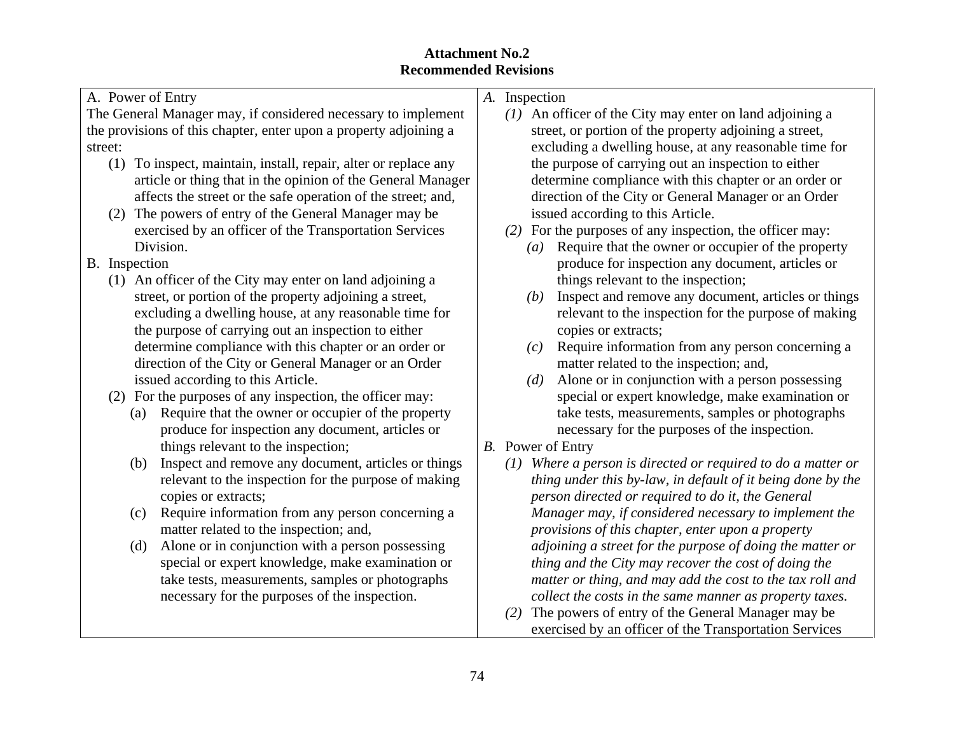| A. Power of Entry                                                 | A. Inspection                                                           |
|-------------------------------------------------------------------|-------------------------------------------------------------------------|
| The General Manager may, if considered necessary to implement     | (1) An officer of the City may enter on land adjoining a                |
| the provisions of this chapter, enter upon a property adjoining a | street, or portion of the property adjoining a street,                  |
| street:                                                           | excluding a dwelling house, at any reasonable time for                  |
| (1) To inspect, maintain, install, repair, alter or replace any   | the purpose of carrying out an inspection to either                     |
| article or thing that in the opinion of the General Manager       | determine compliance with this chapter or an order or                   |
| affects the street or the safe operation of the street; and,      | direction of the City or General Manager or an Order                    |
| (2) The powers of entry of the General Manager may be             | issued according to this Article.                                       |
| exercised by an officer of the Transportation Services            | (2) For the purposes of any inspection, the officer may:                |
| Division.                                                         | Require that the owner or occupier of the property<br>$\left( a\right)$ |
| B. Inspection                                                     | produce for inspection any document, articles or                        |
| (1) An officer of the City may enter on land adjoining a          | things relevant to the inspection;                                      |
| street, or portion of the property adjoining a street,            | Inspect and remove any document, articles or things<br>(b)              |
| excluding a dwelling house, at any reasonable time for            | relevant to the inspection for the purpose of making                    |
| the purpose of carrying out an inspection to either               | copies or extracts;                                                     |
| determine compliance with this chapter or an order or             | Require information from any person concerning a<br>(c)                 |
| direction of the City or General Manager or an Order              | matter related to the inspection; and,                                  |
| issued according to this Article.                                 | Alone or in conjunction with a person possessing<br>(d)                 |
| (2) For the purposes of any inspection, the officer may:          | special or expert knowledge, make examination or                        |
| (a) Require that the owner or occupier of the property            | take tests, measurements, samples or photographs                        |
| produce for inspection any document, articles or                  | necessary for the purposes of the inspection.                           |
| things relevant to the inspection;                                | B. Power of Entry                                                       |
| (b) Inspect and remove any document, articles or things           | $(1)$ Where a person is directed or required to do a matter or          |
| relevant to the inspection for the purpose of making              | thing under this by-law, in default of it being done by the             |
| copies or extracts;                                               | person directed or required to do it, the General                       |
| (c) Require information from any person concerning a              | Manager may, if considered necessary to implement the                   |
| matter related to the inspection; and,                            | provisions of this chapter, enter upon a property                       |
| (d) Alone or in conjunction with a person possessing              | adjoining a street for the purpose of doing the matter or               |
| special or expert knowledge, make examination or                  | thing and the City may recover the cost of doing the                    |
| take tests, measurements, samples or photographs                  | matter or thing, and may add the cost to the tax roll and               |
| necessary for the purposes of the inspection.                     | collect the costs in the same manner as property taxes.                 |
|                                                                   | (2) The powers of entry of the General Manager may be                   |
|                                                                   | exercised by an officer of the Transportation Services                  |
|                                                                   |                                                                         |